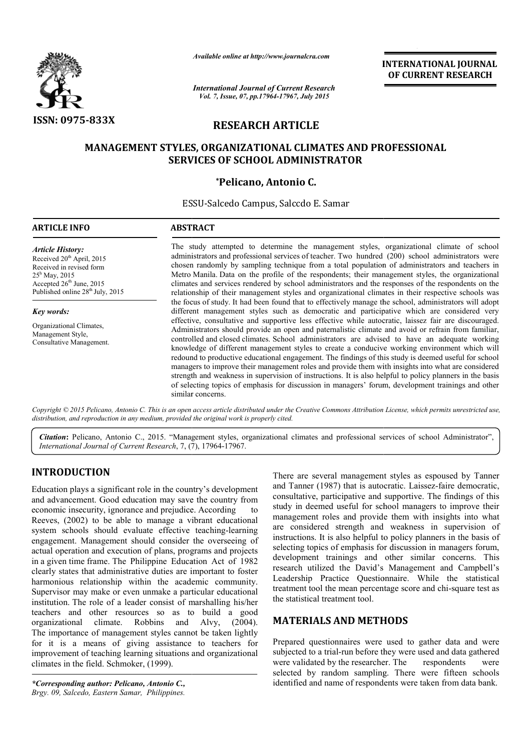

*Available online at http://www.journalcra.com*

*International Journal of Current Research Vol. 7, Issue, 07, pp.17964-17967, July 2015*

**INTERNATIONAL INTERNATIONAL JOURNAL OF CURRENT RESEARCH** 

# **RESEARCH ARTICLE**

# **MANAGEMENT STYLES, ORGANIZATIONAL CLIMATES AND PROFESSIONAL SERVICES OF SCHOOL ADMINISTRATOR**

# **\*Pelicano, Antonio C.**

ESSU ESSU-Salcedo Campus, Salccdo E. Samar **.** 

## **ARTICLE INFO ABSTRACT**

*Article History:* Received 20<sup>th</sup> April, 2015 Received in revised form  $25^{\rm h}$  May, 2015 Accepted 26<sup>th</sup> June, 2015 Published online  $28^{th}$  July, 2015

#### *Key words:*

Organizational Climates, Management Style, Consultative Management. The study attempted to determine the management styles, organizational climate of school The study attempted to determine the management styles, organizational climate of school administrators and professional services of teacher. Two hundred (200) school administrators were chosen randomly by sampling technique from a total population of administrators and teachers in Metro Manila. Data on the profile of the respondents; their management styles, the organizational climates and services rendered by school administrators and the responses of the respondents on the relationship of their management styles and organizational climates in their respective schools was the focus of study. It had been found that to effectively manage the school, administrators wil different management styles such as democratic and participative which are considered very different management styles such as democratic and participative which are considered very effective, consultative and supportive less effective while autocratic, laissez fair are discouraged. Administrators should provide an open and paternalistic climate and avoid or refrain from familiar, controlled and closed climates. School administrators are advised to have an adequate working knowledge of different management styles to create a conducive working environment which will redound to productive educational engagement. The findings of this study is deemed useful for school managers to improve their management roles and provide them with insights into what are considered strength and weakness in supervision of instructions. It is also helpful to policy planners in the basis of selecting topics of emphasis for discussion in managers' forum, development trainings and other similar concerns. fluxtuply by sampling technique from a total population of administrators and teachers in Data on the profile of the respondents; their management styles, the organizational ervices rendered by school administrators and th provide an open and paternalistic climate and avoid or refrain from familiar, limates. School administrators are advised to have an adequate working imanagement styles to create a conducive working environment which will e

Copyright © 2015 Pelicano, Antonio C. This is an open access article distributed under the Creative Commons Attribution License, which permits unrestricted use, *distribution, and reproduction in any medium, provided the original work is properly cited.*

Citation: Pelicano, Antonio C., 2015. "Management styles, organizational climates and professional services of school Administrator", **Citation:** Pelicano, Antonio C., 2015. "Management styles, onternational Journal of Current Research, 7, (7), 17964-17967.

# **INTRODUCTION**

Education plays a significant role in the country's development and advancement. Good education may save the country from economic insecurity, ignorance and prejudice. According to Reeves, (2002) to be able to manage a vibrant educational system schools should evaluate effective teaching-learning engagement. Management should consider the overseeing of actual operation and execution of plans, programs and projects in a given time frame. The Philippine Education Act of 1982 clearly states that administrative duties are important to foster harmonious relationship within the academic community. Supervisor may make or even unmake a particular educational institution. The role of a leader consist of marshalling his/her teachers and other resources so as to build a good organizational climate. Robbins and The importance of management styles cannot be taken lightly for it is a means of giving assistance to teachers for improvement of teaching learning situations and organizational climates in the field. Schmoker, (1999). isor may make or even unmake a particular educational<br>ion. The role of a leader consist of marshalling his/her<br>s and other resources so as to build a good<br>ational climate. Robbins and Alvy, (2004).

*\*Corresponding author: Pelicano, Antonio C., Brgy. 09, Salcedo, Eastern Samar, Philippines.*

There are several management styles as espoused by Tanner There are several management styles as espoused by Tanner and Tanner (1987) that is autocratic. Laissez-faire democratic, consultative, participative and supportive. participative The findings of this study in deemed useful for school managers to improve their management roles and provide them with insights into what are considered strength and weakness in supervision of instructions. It is also helpful to policy planners in the basis of selecting topics of emphasis for discussion in managers forum, development trainings and other similar concerns. This research utilized the David's Management and Campbell's Leadership Practice Questionnaire. While the statistical treatment tool the mean percentage score and chi-square test as the statistical treatment tool.  $\nu$  in deemed useful for school managers to improve their agement roles and provide them with insights into what considered strength and weakness in supervision of uctions. It is also helpful to policy planners in the ba utilized the David's Management and Campbell's<br>p Practice Questionnaire. While the statistical<br>tool the mean percentage score and chi-square test as

# **MATERIALS AND METHODS METHODS**

Prepared questionnaires were used to gather data and were subjected to a trial-run before they were used and data gathered were validated by the researcher. selected by random sampling. There were fifteen schools identified and name of respondents were taken from data bank. ded to gather data and were<br>tial-run before they were used and data gathered<br>by the researcher. The respondents were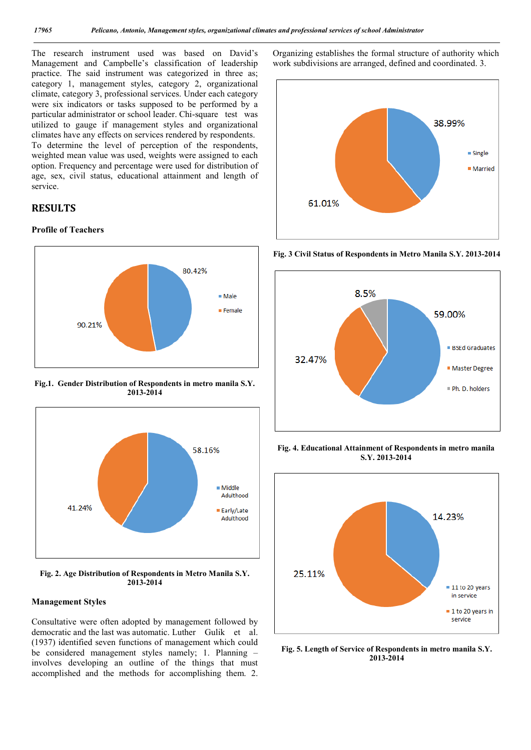The research instrument used was based on David's Management and Campbelle's classification of leadership practice. The said instrument was categorized in three as; category 1, management styles, category 2, organizational climate, category 3, professional services. Under each category were six indicators or tasks supposed to be performed by a particular administrator or school leader. Chi-square test was utilized to gauge if management styles and organizational climates have any effects on services rendered by respondents. To determine the level of perception of the respondents, weighted mean value was used, weights were assigned to each option. Frequency and percentage were used for distribution of age, sex, civil status, educational attainment and length of service.

# **RESULTS**

## **Profile of Teachers**



**Fig.1. Gender Distribution of Respondents in metro manila S.Y. 2013-2014**



**Fig. 2. Age Distribution of Respondents in Metro Manila S.Y. 2013-2014**

#### **Management Styles**

Consultative were often adopted by management followed by democratic and the last was automatic. Luther Gulik et al. (1937) identified seven functions of management which could be considered management styles namely; 1. Planning – involves developing an outline of the things that must accomplished and the methods for accomplishing them. 2.

Organizing establishes the formal structure of authority which work subdivisions are arranged, defined and coordinated. 3.



**Fig. 3 Civil Status of Respondents in Metro Manila S.Y. 2013-2014**



**Fig. 4. Educational Attainment of Respondents in metro manila S.Y. 2013-2014**



**Fig. 5. Length of Service of Respondents in metro manila S.Y. 2013-2014**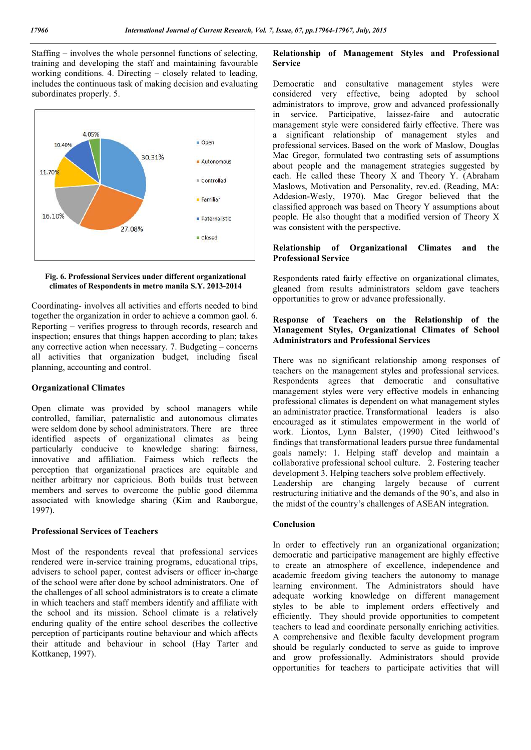Staffing – involves the whole personnel functions of selecting, training and developing the staff and maintaining favourable working conditions. 4. Directing – closely related to leading, includes the continuous task of making decision and evaluating subordinates properly. 5.



#### **Fig. 6. Professional Services under different organizational climates of Respondents in metro manila S.Y. 2013-2014**

Coordinating- involves all activities and efforts needed to bind together the organization in order to achieve a common gaol. 6. Reporting – verifies progress to through records, research and inspection; ensures that things happen according to plan; takes any corrective action when necessary. 7. Budgeting – concerns all activities that organization budget, including fiscal planning, accounting and control.

## **Organizational Climates**

Open climate was provided by school managers while controlled, familiar, paternalistic and autonomous climates were seldom done by school administrators. There are three identified aspects of organizational climates as being particularly conducive to knowledge sharing: fairness, innovative and affiliation. Fairness which reflects the perception that organizational practices are equitable and neither arbitrary nor capricious. Both builds trust between members and serves to overcome the public good dilemma associated with knowledge sharing (Kim and Rauborgue, 1997).

### **Professional Services of Teachers**

Most of the respondents reveal that professional services rendered were in-service training programs, educational trips, advisers to school paper, contest advisers or officer in-charge of the school were after done by school administrators. One of the challenges of all school administrators is to create a climate in which teachers and staff members identify and affiliate with the school and its mission. School climate is a relatively enduring quality of the entire school describes the collective perception of participants routine behaviour and which affects their attitude and behaviour in school (Hay Tarter and Kottkanep, 1997).

# **Relationship of Management Styles and Professional Service**

Democratic and consultative management styles were considered very effective, being adopted by school administrators to improve, grow and advanced professionally in service. Participative, laissez-faire and autocratic management style were considered fairly effective. There was a significant relationship of management styles and professional services. Based on the work of Maslow, Douglas Mac Gregor, formulated two contrasting sets of assumptions about people and the management strategies suggested by each. He called these Theory X and Theory Y. (Abraham Maslows, Motivation and Personality, rev.ed. (Reading, MA: Addesion-Wesly, 1970). Mac Gregor believed that the classified approach was based on Theory Y assumptions about people. He also thought that a modified version of Theory X was consistent with the perspective.

## **Relationship of Organizational Climates and the Professional Service**

Respondents rated fairly effective on organizational climates, gleaned from results administrators seldom gave teachers opportunities to grow or advance professionally.

## **Response of Teachers on the Relationship of the Management Styles, Organizational Climates of School Administrators and Professional Services**

There was no significant relationship among responses of teachers on the management styles and professional services. Respondents agrees that democratic and consultative management styles were very effective models in enhancing professional climates is dependent on what management styles an administrator practice. Transformational leaders is also encouraged as it stimulates empowerment in the world of work. Liontos, Lynn Balster, (1990) Cited leithwood's findings that transformational leaders pursue three fundamental goals namely: 1. Helping staff develop and maintain a collaborative professional school culture. 2. Fostering teacher development 3. Helping teachers solve problem effectively. Leadership are changing largely because of current restructuring initiative and the demands of the 90's, and also in the midst of the country's challenges of ASEAN integration.

### **Conclusion**

In order to effectively run an organizational organization; democratic and participative management are highly effective to create an atmosphere of excellence, independence and academic freedom giving teachers the autonomy to manage learning environment. The Administrators should have adequate working knowledge on different management styles to be able to implement orders effectively and efficiently. They should provide opportunities to competent teachers to lead and coordinate personally enriching activities. A comprehensive and flexible faculty development program should be regularly conducted to serve as guide to improve and grow professionally. Administrators should provide opportunities for teachers to participate activities that will